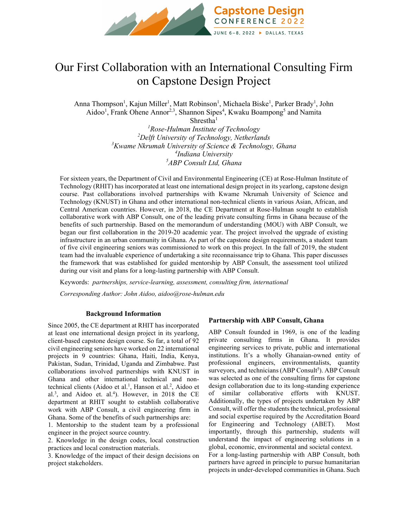

# Our First Collaboration with an International Consulting Firm on Capstone Design Project

Anna Thompson<sup>1</sup>, Kajun Miller<sup>1</sup>, Matt Robinson<sup>1</sup>, Michaela Biske<sup>1</sup>, Parker Brady<sup>1</sup>, John Aidoo<sup>1</sup>, Frank Ohene Annor<sup>2,3</sup>, Shannon Sipes<sup>4</sup>, Kwaku Boampong<sup>5</sup> and Namita

> Shrestha<sup>1</sup> *Rose-Hulman Institute of Technology Delft University of Technology, Netherlands Kwame Nkrumah University of Science & Technology, Ghana Indiana University ABP Consult Ltd, Ghana*

For sixteen years, the Department of Civil and Environmental Engineering (CE) at Rose-Hulman Institute of Technology (RHIT) has incorporated at least one international design project in its yearlong, capstone design course. Past collaborations involved partnerships with Kwame Nkrumah University of Science and Technology (KNUST) in Ghana and other international non-technical clients in various Asian, African, and Central American countries. However, in 2018, the CE Department at Rose-Hulman sought to establish collaborative work with ABP Consult, one of the leading private consulting firms in Ghana because of the benefits of such partnership. Based on the memorandum of understanding (MOU) with ABP Consult, we began our first collaboration in the 2019-20 academic year. The project involved the upgrade of existing infrastructure in an urban community in Ghana. As part of the capstone design requirements, a student team of five civil engineering seniors was commissioned to work on this project. In the fall of 2019, the student team had the invaluable experience of undertaking a site reconnaissance trip to Ghana. This paper discusses the framework that was established for guided mentorship by ABP Consult, the assessment tool utilized during our visit and plans for a long-lasting partnership with ABP Consult.

Keywords: *partnerships, service-learning, assessment, consulting firm, international Corresponding Author: John Aidoo, aidoo@rose-hulman.edu*

#### **Background Information**

Since 2005, the CE department at RHIT has incorporated at least one international design project in its yearlong, client-based capstone design course. So far, a total of 92 civil engineering seniors have worked on 22 international projects in 9 countries: Ghana, Haiti, India, Kenya, Pakistan, Sudan, Trinidad, Uganda and Zimbabwe. Past collaborations involved partnerships with KNUST in Ghana and other international technical and nontechnical clients (Aidoo et al.<sup>1</sup>, Hanson et al.<sup>2</sup>, Aidoo et al.<sup>3</sup>, and Aidoo et. al.<sup>4</sup>). However, in 2018 the CE department at RHIT sought to establish collaborative work with ABP Consult, a civil engineering firm in Ghana. Some of the benefits of such partnerships are:

1. Mentorship to the student team by a professional engineer in the project source country.

2. Knowledge in the design codes, local construction practices and local construction materials.

3. Knowledge of the impact of their design decisions on project stakeholders.

#### **Partnership with ABP Consult, Ghana**

ABP Consult founded in 1969, is one of the leading private consulting firms in Ghana. It provides engineering services to private, public and international institutions. It's a wholly Ghanaian-owned entity of professional engineers, environmentalists, quantity surveyors, and technicians (ABP Consult<sup>5</sup>). ABP Consult was selected as one of the consulting firms for capstone design collaboration due to its long-standing experience of similar collaborative efforts with KNUST. Additionally, the types of projects undertaken by ABP Consult, will offer the students the technical, professional and social expertise required by the Accreditation Board for Engineering and Technology (ABET). Most importantly, through this partnership, students will understand the impact of engineering solutions in a global, economic, environmental and societal context. For a long-lasting partnership with ABP Consult, both partners have agreed in principle to pursue humanitarian projects in under-developed communities in Ghana. Such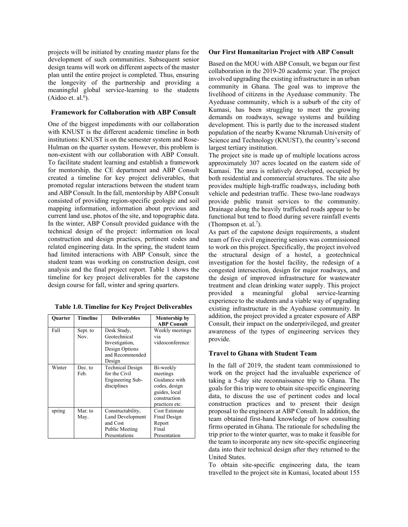projects will be initiated by creating master plans for the development of such communities. Subsequent senior design teams will work on different aspects of the master plan until the entire project is completed. Thus, ensuring the longevity of the partnership and providing a meaningful global service-learning to the students  $(Aidoo et. al.<sup>6</sup>).$ 

### **Framework for Collaboration with ABP Consult**

One of the biggest impediments with our collaboration with KNUST is the different academic timeline in both institutions: KNUST is on the semester system and Rose-Hulman on the quarter system. However, this problem is non-existent with our collaboration with ABP Consult. To facilitate student learning and establish a framework for mentorship, the CE department and ABP Consult created a timeline for key project deliverables, that promoted regular interactions between the student team and ABP Consult. In the fall, mentorship by ABP Consult consisted of providing region-specific geologic and soil mapping information, information about previous and current land use, photos of the site, and topographic data. In the winter, ABP Consult provided guidance with the technical design of the project: information on local construction and design practices, pertinent codes and related engineering data. In the spring, the student team had limited interactions with ABP Consult, since the student team was working on construction design, cost analysis and the final project report. Table 1 shows the timeline for key project deliverables for the capstone design course for fall, winter and spring quarters.

| <b>Ouarter</b> | <b>Timeline</b>  | <b>Deliverables</b>                                                                          | <b>Mentorship by</b><br><b>ABP Consult</b>                                                                 |
|----------------|------------------|----------------------------------------------------------------------------------------------|------------------------------------------------------------------------------------------------------------|
| Fall           | Sept. to<br>Nov. | Desk Study,<br>Geotechnical<br>Investigation,<br>Design Options<br>and Recommended<br>Design | Weekly meetings<br>via<br>videoconference                                                                  |
| Winter         | Dec. to<br>Feb.  | <b>Technical Design</b><br>for the Civil<br>Engineering Sub-<br>disciplines                  | Bi-weekly<br>meetings<br>Guidance with<br>codes, design<br>guides, local<br>construction<br>practices etc. |
| spring         | Mar. to<br>May.  | Constructability,<br>Land Development<br>and Cost<br>Public Meeting<br>Presentations         | Cost Estimate<br>Final Design<br>Report<br>Final<br>Presentation                                           |

**Table 1.0. Timeline for Key Project Deliverables**

# **Our First Humanitarian Project with ABP Consult**

Based on the MOU with ABP Consult, we began our first collaboration in the 2019-20 academic year. The project involved upgrading the existing infrastructure in an urban community in Ghana. The goal was to improve the livelihood of citizens in the Ayeduase community. The Ayeduase community, which is a suburb of the city of Kumasi, has been struggling to meet the growing demands on roadways, sewage systems and building development. This is partly due to the increased student population of the nearby Kwame Nkrumah University of Science and Technology (KNUST), the country's second largest tertiary institution.

The project site is made up of multiple locations across approximately 307 acres located on the eastern side of Kumasi. The area is relatively developed, occupied by both residential and commercial structures. The site also provides multiple high-traffic roadways, including both vehicle and pedestrian traffic. These two-lane roadways provide public transit services to the community. Drainage along the heavily trafficked roads appear to be functional but tend to flood during severe rainfall events (Thompson et. al.<sup>7</sup>).

As part of the capstone design requirements, a student team of five civil engineering seniors was commissioned to work on this project. Specifically, the project involved the structural design of a hostel, a geotechnical investigation for the hostel facility, the redesign of a congested intersection, design for major roadways, and the design of improved infrastructure for wastewater treatment and clean drinking water supply. This project provided a meaningful global service-learning experience to the students and a viable way of upgrading existing infrastructure in the Ayeduase community. In addition, the project provided a greater exposure of ABP Consult, their impact on the underprivileged, and greater awareness of the types of engineering services they provide.

# **Travel to Ghana with Student Team**

In the fall of 2019, the student team commissioned to work on the project had the invaluable experience of taking a 5-day site reconnaissance trip to Ghana. The goals for this trip were to obtain site-specific engineering data, to discuss the use of pertinent codes and local construction practices and to present their design proposal to the engineers at ABP Consult. In addition, the team obtained first-hand knowledge of how consulting firms operated in Ghana. The rationale for scheduling the trip prior to the winter quarter, was to make it feasible for the team to incorporate any new site-specific engineering data into their technical design after they returned to the United States.

To obtain site-specific engineering data, the team travelled to the project site in Kumasi, located about 155